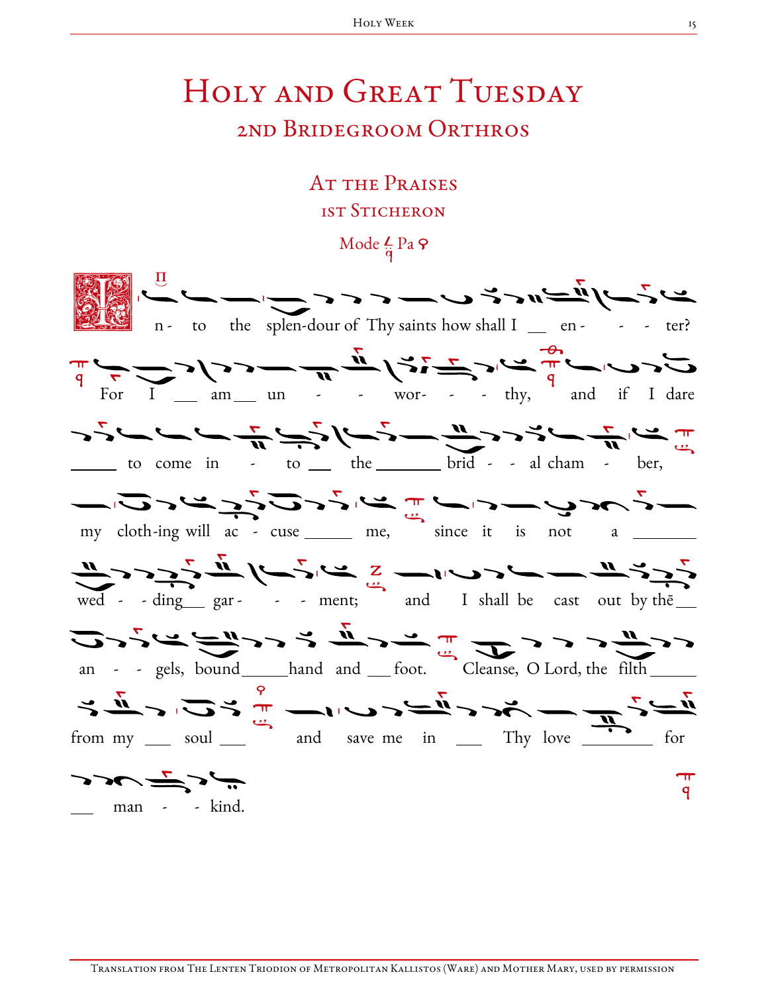## HOLY AND GREAT TUESDAY 2nd Bridegroom Orthros

## AT THE PRAISES **1ST STICHERON**

Mode  $\frac{L}{a}$  Pa  $\varphi$ 

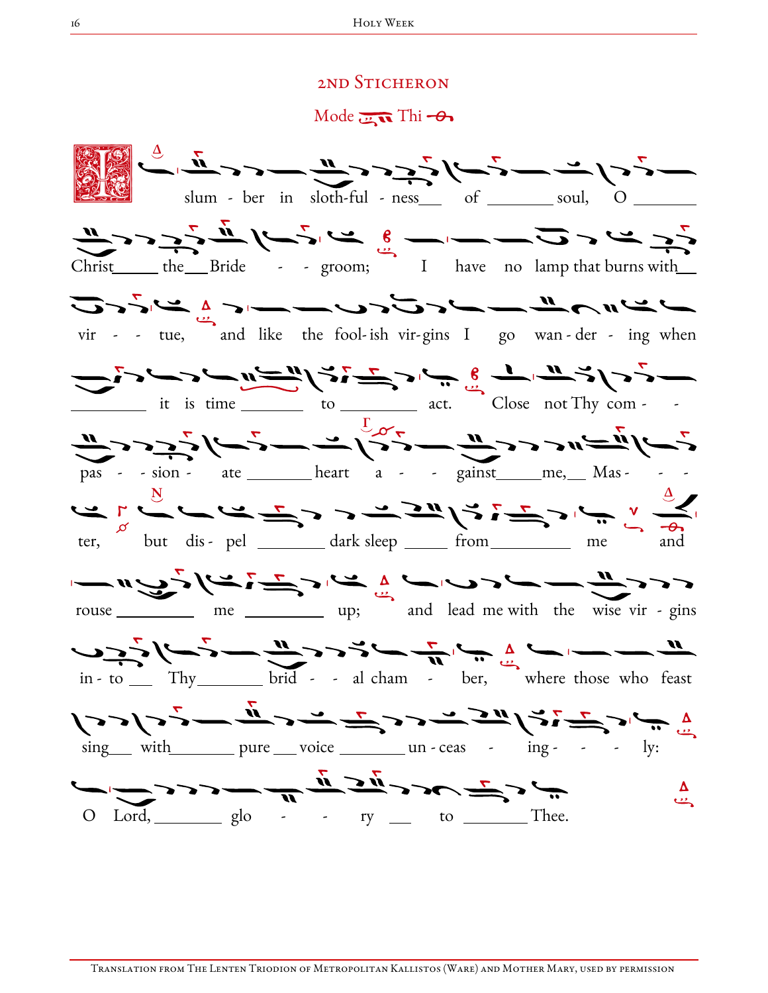## 2nd Sticheron

Mode  $\overline{\mathbf{u}}$  Thi  $-\theta$ 



Translation from The Lenten Triodion of Metropolitan Kallistos (Ware) and Mother Mary, used by permission